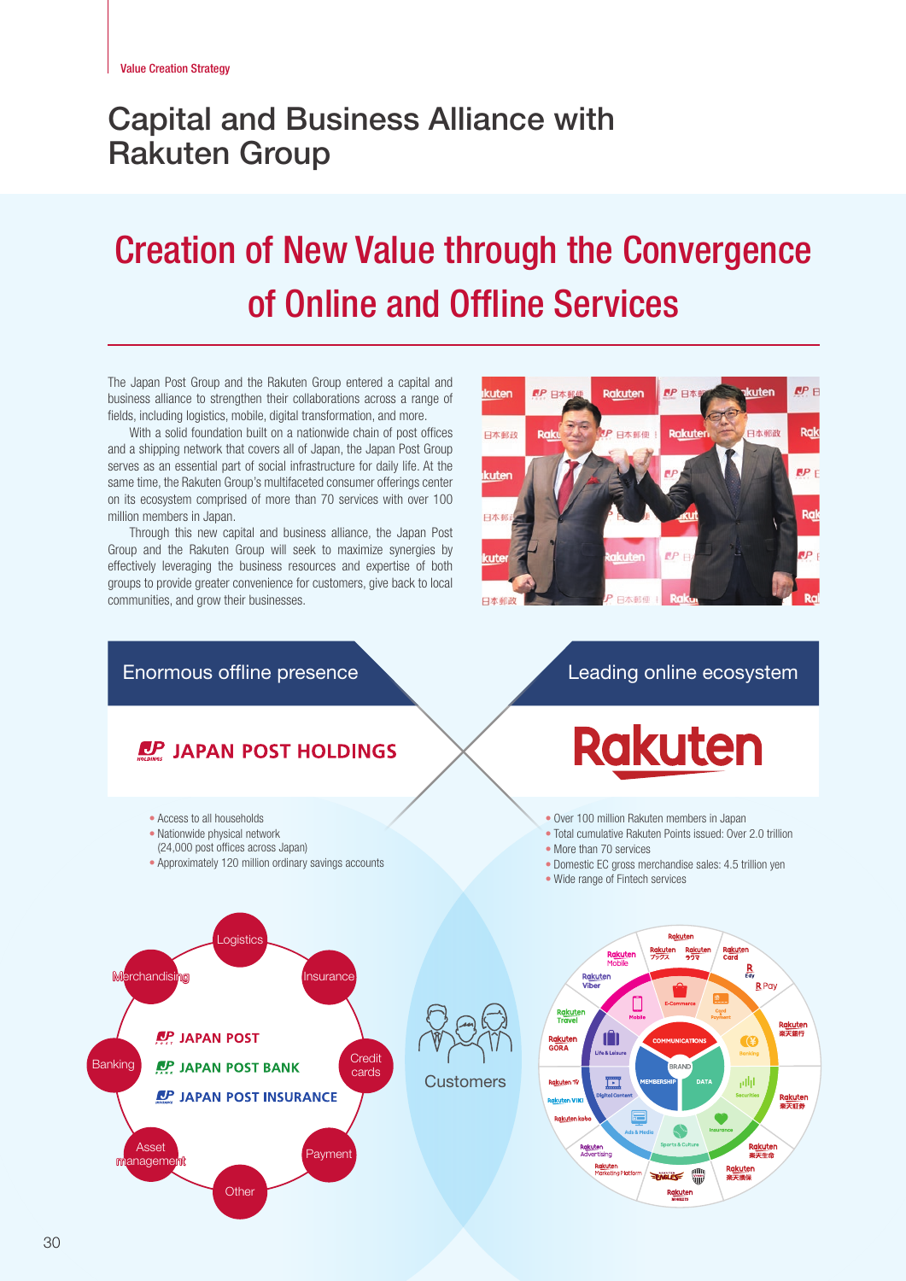# Capital and Business Alliance with Rakuten Group

# Creation of New Value through the Convergence of Online and Offline Services

The Japan Post Group and the Rakuten Group entered a capital and business alliance to strengthen their collaborations across a range of fields, including logistics, mobile, digital transformation, and more.

With a solid foundation built on a nationwide chain of post offices and a shipping network that covers all of Japan, the Japan Post Group serves as an essential part of social infrastructure for daily life. At the same time, the Rakuten Group's multifaceted consumer offerings center on its ecosystem comprised of more than 70 services with over 100 million members in Japan.

Through this new capital and business alliance, the Japan Post Group and the Rakuten Group will seek to maximize synergies by effectively leveraging the business resources and expertise of both groups to provide greater convenience for customers, give back to local communities, and grow their businesses.



Enormous offline presence Leading online ecosystem

## **LP JAPAN POST HOLDINGS**

- Access to all households
- Nationwide physical network
- (24,000 post offices across Japan)
- Approximately 120 million ordinary savings accounts

**Rakuten** 

- Over 100 million Rakuten members in Japan
- Total cumulative Rakuten Points issued: Over 2.0 trillion
- More than 70 services
- Domestic EC gross merchandise sales: 4.5 trillion yen
- Wide range of Fintech services